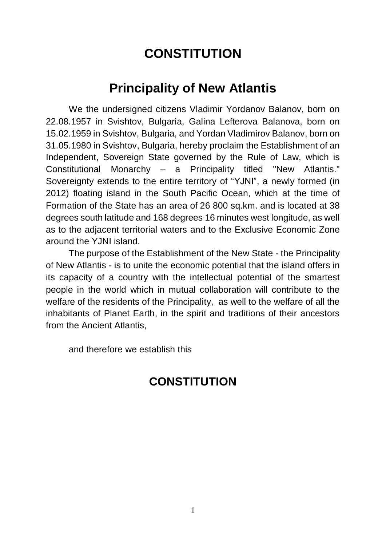# **CONSTITUTION**

# **Principality of New Atlantis**

We the undersigned citizens Vladimir Yordanov Balanov, born on 22.08.1957 in Svishtov, Bulgaria, Galina Lefterova Balanova, born on 15.02.1959 in Svishtov, Bulgaria, and Yordan Vladimirov Balanov, born on 31.05.1980 in Svishtov, Bulgaria, hereby proclaim the Establishment of an Independent, Sovereign State governed by the Rule of Law, which is Constitutional Monarchy – a Principality titled "New Atlantis." Sovereignty extends to the entire territory of "YJNI", a newly formed (in 2012) floating island in the South Pacific Ocean, which at the time of Formation of the State has an area of 26 800 sq.km. and is located at 38 degrees south latitude and 168 degrees 16 minutes west longitude, as well as to the adjacent territorial waters and to the Exclusive Economic Zone around the YJNI island.

The purpose of the Establishment of the New State - the Principality of New Atlantis - is to unite the economic potential that the island offers in its capacity of a country with the intellectual potential of the smartest people in the world which in mutual collaboration will contribute to the welfare of the residents of the Principality, as well to the welfare of all the inhabitants of Planet Earth, in the spirit and traditions of their ancestors from the Ancient Atlantis,

and therefore we establish this

# **CONSTITUTION**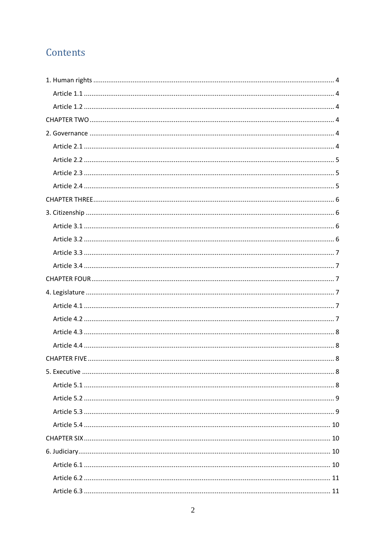# Contents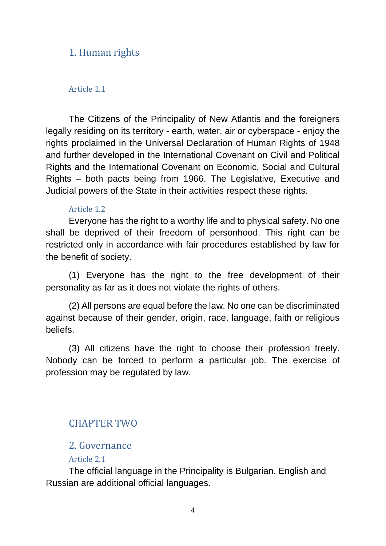# 1. Human rights

#### Article 1.1

The Citizens of the Principality of New Atlantis and the foreigners legally residing on its territory - earth, water, air or cyberspace - enjoy the rights proclaimed in the Universal Declaration of Human Rights of 1948 and further developed in the International Covenant on Civil and Political Rights and the International Covenant on Economic, Social and Cultural Rights – both pacts being from 1966. The Legislative, Executive and Judicial powers of the State in their activities respect these rights.

#### Article 1.2

Everyone has the right to a worthy life and to physical safety. No one shall be deprived of their freedom of personhood. This right can be restricted only in accordance with fair procedures established by law for the benefit of society.

(1) Everyone has the right to the free development of their personality as far as it does not violate the rights of others.

(2) All persons are equal before the law. No one can be discriminated against because of their gender, origin, race, language, faith or religious beliefs.

(3) All citizens have the right to choose their profession freely. Nobody can be forced to perform a particular job. The exercise of profession may be regulated by law.

# CHAPTER TWO

### 2. Governance

#### Article 2.1

The official language in the Principality is Bulgarian. English and Russian are additional official languages.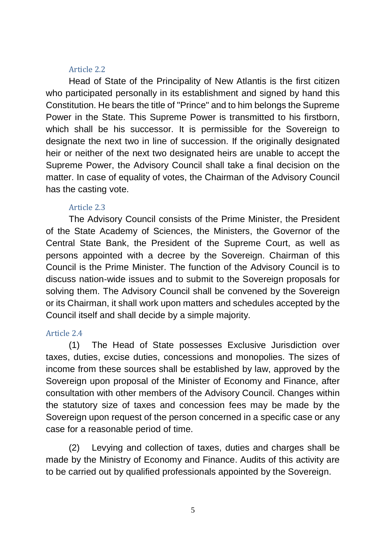#### Article 2.2

Head of State of the Principality of New Atlantis is the first citizen who participated personally in its establishment and signed by hand this Constitution. He bears the title of "Prince" and to him belongs the Supreme Power in the State. This Supreme Power is transmitted to his firstborn, which shall be his successor. It is permissible for the Sovereign to designate the next two in line of succession. If the originally designated heir or neither of the next two designated heirs are unable to accept the Supreme Power, the Advisory Council shall take a final decision on the matter. In case of equality of votes, the Chairman of the Advisory Council has the casting vote.

#### Article 2.3

The Advisory Council consists of the Prime Minister, the President of the State Academy of Sciences, the Ministers, the Governor of the Central State Bank, the President of the Supreme Court, as well as persons appointed with a decree by the Sovereign. Chairman of this Council is the Prime Minister. The function of the Advisory Council is to discuss nation-wide issues and to submit to the Sovereign proposals for solving them. The Advisory Council shall be convened by the Sovereign or its Chairman, it shall work upon matters and schedules accepted by the Council itself and shall decide by a simple majority.

### Article 2.4

(1) The Head of State possesses Exclusive Jurisdiction over taxes, duties, excise duties, concessions and monopolies. The sizes of income from these sources shall be established by law, approved by the Sovereign upon proposal of the Minister of Economy and Finance, after consultation with other members of the Advisory Council. Changes within the statutory size of taxes and concession fees may be made by the Sovereign upon request of the person concerned in a specific case or any case for a reasonable period of time.

(2) Levying and collection of taxes, duties and charges shall be made by the Ministry of Economy and Finance. Audits of this activity are to be carried out by qualified professionals appointed by the Sovereign.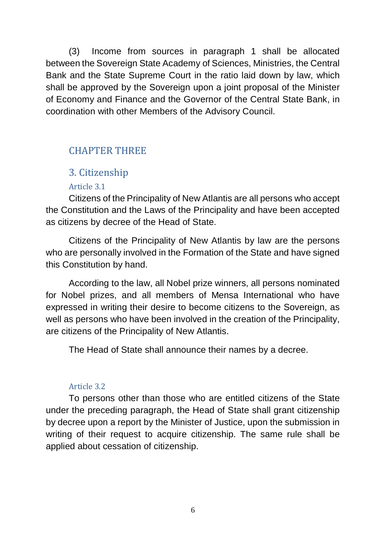(3) Income from sources in paragraph 1 shall be allocated between the Sovereign State Academy of Sciences, Ministries, the Central Bank and the State Supreme Court in the ratio laid down by law, which shall be approved by the Sovereign upon a joint proposal of the Minister of Economy and Finance and the Governor of the Central State Bank, in coordination with other Members of the Advisory Council.

# CHAPTER THREE

# 3. Citizenship

# Article 3.1

Citizens of the Principality of New Atlantis are all persons who accept the Constitution and the Laws of the Principality and have been accepted as citizens by decree of the Head of State.

Citizens of the Principality of New Atlantis by law are the persons who are personally involved in the Formation of the State and have signed this Constitution by hand.

According to the law, all Nobel prize winners, all persons nominated for Nobel prizes, and all members of Mensa International who have expressed in writing their desire to become citizens to the Sovereign, as well as persons who have been involved in the creation of the Principality, are citizens of the Principality of New Atlantis.

The Head of State shall announce their names by a decree.

# Article 3.2

To persons other than those who are entitled citizens of the State under the preceding paragraph, the Head of State shall grant citizenship by decree upon a report by the Minister of Justice, upon the submission in writing of their request to acquire citizenship. The same rule shall be applied about cessation of citizenship.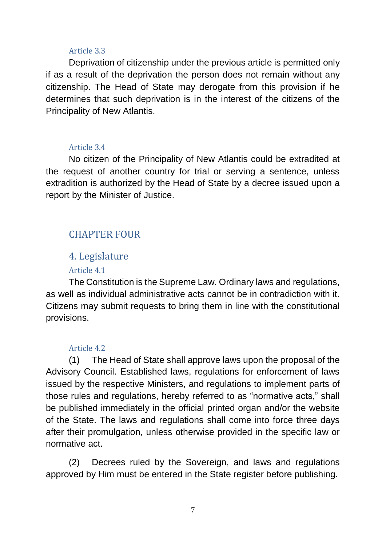#### Article 3.3

Deprivation of citizenship under the previous article is permitted only if as a result of the deprivation the person does not remain without any citizenship. The Head of State may derogate from this provision if he determines that such deprivation is in the interest of the citizens of the Principality of New Atlantis.

#### Article 3.4

No citizen of the Principality of New Atlantis could be extradited at the request of another country for trial or serving a sentence, unless extradition is authorized by the Head of State by a decree issued upon a report by the Minister of Justice.

# CHAPTER FOUR

# 4. Legislature

#### Article 4.1

The Constitution is the Supreme Law. Ordinary laws and regulations, as well as individual administrative acts cannot be in contradiction with it. Citizens may submit requests to bring them in line with the constitutional provisions.

#### Article 4.2

(1) The Head of State shall approve laws upon the proposal of the Advisory Council. Established laws, regulations for enforcement of laws issued by the respective Ministers, and regulations to implement parts of those rules and regulations, hereby referred to as "normative acts," shall be published immediately in the official printed organ and/or the website of the State. The laws and regulations shall come into force three days after their promulgation, unless otherwise provided in the specific law or normative act.

(2) Decrees ruled by the Sovereign, and laws and regulations approved by Him must be entered in the State register before publishing.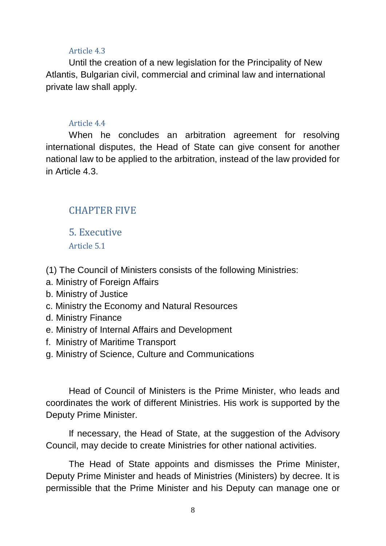#### Article 4.3

Until the creation of a new legislation for the Principality of New Atlantis, Bulgarian civil, commercial and criminal law and international private law shall apply.

#### Article 4.4

When he concludes an arbitration agreement for resolving international disputes, the Head of State can give consent for another national law to be applied to the arbitration, instead of the law provided for in Article 4.3.

# CHAPTER FIVE

5. Executive Article 5.1

(1) The Council of Ministers consists of the following Ministries:

- a. Ministry of Foreign Affairs
- b. Ministry of Justice
- c. Ministry the Economy and Natural Resources
- d. Ministry Finance
- e. Ministry of Internal Affairs and Development
- f. Ministry of Maritime Transport
- g. Ministry of Science, Culture and Communications

Head of Council of Ministers is the Prime Minister, who leads and coordinates the work of different Ministries. His work is supported by the Deputy Prime Minister.

If necessary, the Head of State, at the suggestion of the Advisory Council, may decide to create Ministries for other national activities.

The Head of State appoints and dismisses the Prime Minister, Deputy Prime Minister and heads of Ministries (Ministers) by decree. It is permissible that the Prime Minister and his Deputy can manage one or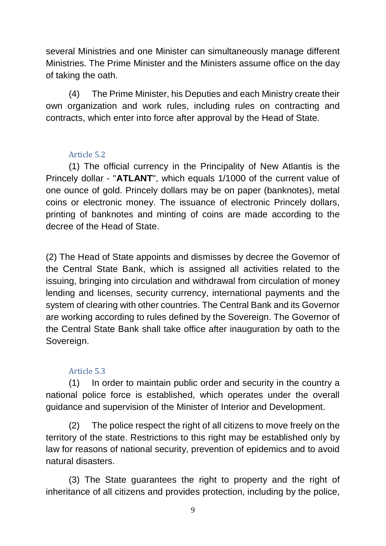several Ministries and one Minister can simultaneously manage different Ministries. The Prime Minister and the Ministers assume office on the day of taking the oath.

(4) The Prime Minister, his Deputies and each Ministry create their own organization and work rules, including rules on contracting and contracts, which enter into force after approval by the Head of State.

### Article 5.2

(1) The official currency in the Principality of New Atlantis is the Princely dollar - "**ATLANT**", which equals 1/1000 of the current value of one ounce of gold. Princely dollars may be on paper (banknotes), metal coins or electronic money. The issuance of electronic Princely dollars, printing of banknotes and minting of coins are made according to the decree of the Head of State.

(2) The Head of State appoints and dismisses by decree the Governor of the Central State Bank, which is assigned all activities related to the issuing, bringing into circulation and withdrawal from circulation of money lending and licenses, security currency, international payments and the system of clearing with other countries. The Central Bank and its Governor are working according to rules defined by the Sovereign. The Governor of the Central State Bank shall take office after inauguration by oath to the Sovereign.

### Article 5.3

(1) In order to maintain public order and security in the country a national police force is established, which operates under the overall guidance and supervision of the Minister of Interior and Development.

(2) The police respect the right of all citizens to move freely on the territory of the state. Restrictions to this right may be established only by law for reasons of national security, prevention of epidemics and to avoid natural disasters.

(3) The State guarantees the right to property and the right of inheritance of all citizens and provides protection, including by the police,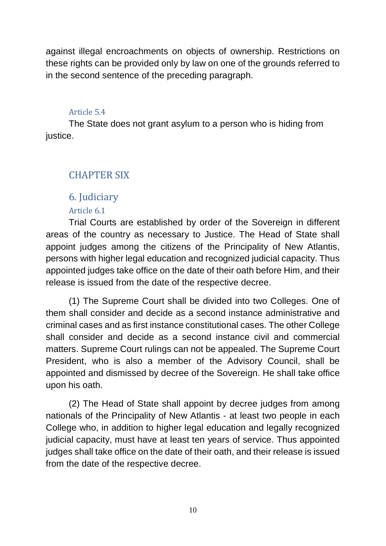against illegal encroachments on objects of ownership. Restrictions on these rights can be provided only by law on one of the grounds referred to in the second sentence of the preceding paragraph.

#### Article 5.4

The State does not grant asylum to a person who is hiding from justice.

# CHAPTER SIX

# 6. Judiciary

### Article 6.1

Trial Courts are established by order of the Sovereign in different areas of the country as necessary to Justice. The Head of State shall appoint judges among the citizens of the Principality of New Atlantis, persons with higher legal education and recognized judicial capacity. Thus appointed judges take office on the date of their oath before Him, and their release is issued from the date of the respective decree.

(1) The Supreme Court shall be divided into two Colleges. One of them shall consider and decide as a second instance administrative and criminal cases and as first instance constitutional cases. The other College shall consider and decide as a second instance civil and commercial matters. Supreme Court rulings can not be appealed. The Supreme Court President, who is also a member of the Advisory Council, shall be appointed and dismissed by decree of the Sovereign. He shall take office upon his oath.

(2) The Head of State shall appoint by decree judges from among nationals of the Principality of New Atlantis - at least two people in each College who, in addition to higher legal education and legally recognized judicial capacity, must have at least ten years of service. Thus appointed judges shall take office on the date of their oath, and their release is issued from the date of the respective decree.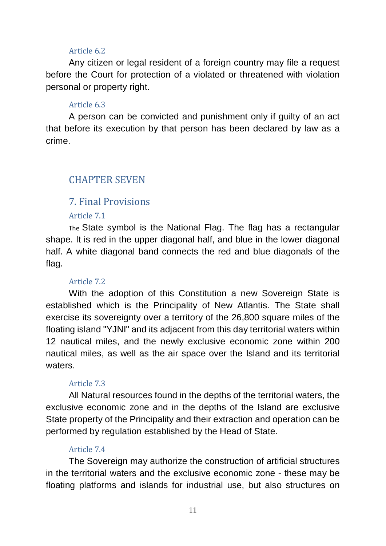#### Article 6.2

Any citizen or legal resident of a foreign country may file a request before the Court for protection of a violated or threatened with violation personal or property right.

#### Article 6.3

A person can be convicted and punishment only if guilty of an act that before its execution by that person has been declared by law as a crime.

# CHAPTER SEVEN

## 7. Final Provisions

#### Article 7.1

The State symbol is the National Flag. The flag has a rectangular shape. It is red in the upper diagonal half, and blue in the lower diagonal half. A white diagonal band connects the red and blue diagonals of the flag.

#### Article 7.2

With the adoption of this Constitution a new Sovereign State is established which is the Principality of New Atlantis. The State shall exercise its sovereignty over a territory of the 26,800 square miles of the floating island "YJNI" and its adjacent from this day territorial waters within 12 nautical miles, and the newly exclusive economic zone within 200 nautical miles, as well as the air space over the Island and its territorial waters.

#### Article 7.3

All Natural resources found in the depths of the territorial waters, the exclusive economic zone and in the depths of the Island are exclusive State property of the Principality and their extraction and operation can be performed by regulation established by the Head of State.

#### Article 7.4

The Sovereign may authorize the construction of artificial structures in the territorial waters and the exclusive economic zone - these may be floating platforms and islands for industrial use, but also structures on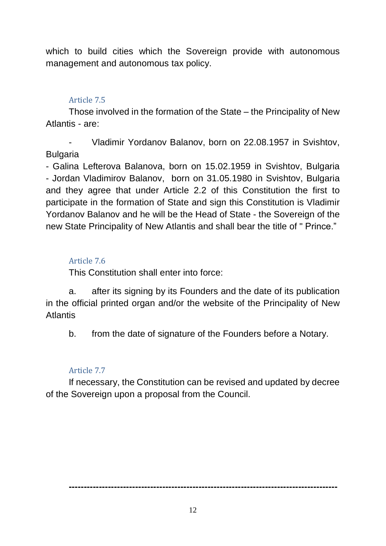which to build cities which the Sovereign provide with autonomous management and autonomous tax policy.

#### Article 7.5

Those involved in the formation of the State – the Principality of New Atlantis - are:

Vladimir Yordanov Balanov, born on 22.08.1957 in Svishtov, Bulgaria

- Galina Lefterova Balanova, born on 15.02.1959 in Svishtov, Bulgaria - Jordan Vladimirov Balanov, born on 31.05.1980 in Svishtov, Bulgaria and they agree that under Article 2.2 of this Constitution the first to participate in the formation of State and sign this Constitution is Vladimir Yordanov Balanov and he will be the Head of State - the Sovereign of the new State Principality of New Atlantis and shall bear the title of " Prince."

### Article 7.6

This Constitution shall enter into force:

a. after its signing by its Founders and the date of its publication in the official printed organ and/or the website of the Principality of New Atlantis

b. from the date of signature of the Founders before a Notary.

#### Article 7.7

If necessary, the Constitution can be revised and updated by decree of the Sovereign upon a proposal from the Council.

**-----------------------------------------------------------------------------------------**